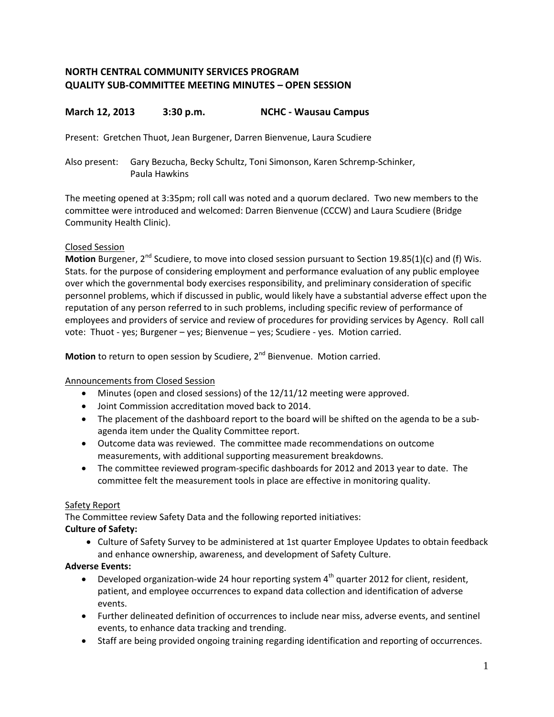# **NORTH CENTRAL COMMUNITY SERVICES PROGRAM QUALITY SUB-COMMITTEE MEETING MINUTES – OPEN SESSION**

# **March 12, 2013 3:30 p.m. NCHC - Wausau Campus**

Present: Gretchen Thuot, Jean Burgener, Darren Bienvenue, Laura Scudiere

Also present: Gary Bezucha, Becky Schultz, Toni Simonson, Karen Schremp-Schinker, Paula Hawkins

The meeting opened at 3:35pm; roll call was noted and a quorum declared. Two new members to the committee were introduced and welcomed: Darren Bienvenue (CCCW) and Laura Scudiere (Bridge Community Health Clinic).

### Closed Session

**Motion** Burgener, 2<sup>nd</sup> Scudiere, to move into closed session pursuant to Section 19.85(1)(c) and (f) Wis. Stats. for the purpose of considering employment and performance evaluation of any public employee over which the governmental body exercises responsibility, and preliminary consideration of specific personnel problems, which if discussed in public, would likely have a substantial adverse effect upon the reputation of any person referred to in such problems, including specific review of performance of employees and providers of service and review of procedures for providing services by Agency. Roll call vote: Thuot - yes; Burgener – yes; Bienvenue – yes; Scudiere - yes. Motion carried.

**Motion** to return to open session by Scudiere, 2<sup>nd</sup> Bienvenue. Motion carried.

#### Announcements from Closed Session

- Minutes (open and closed sessions) of the 12/11/12 meeting were approved.
- Joint Commission accreditation moved back to 2014.
- The placement of the dashboard report to the board will be shifted on the agenda to be a subagenda item under the Quality Committee report.
- Outcome data was reviewed. The committee made recommendations on outcome measurements, with additional supporting measurement breakdowns.
- The committee reviewed program-specific dashboards for 2012 and 2013 year to date. The committee felt the measurement tools in place are effective in monitoring quality.

#### Safety Report

The Committee review Safety Data and the following reported initiatives: **Culture of Safety:**

- - Culture of Safety Survey to be administered at 1st quarter Employee Updates to obtain feedback and enhance ownership, awareness, and development of Safety Culture.

#### **Adverse Events:**

- Developed organization-wide 24 hour reporting system  $4<sup>th</sup>$  quarter 2012 for client, resident, patient, and employee occurrences to expand data collection and identification of adverse events.
- Further delineated definition of occurrences to include near miss, adverse events, and sentinel events, to enhance data tracking and trending.
- Staff are being provided ongoing training regarding identification and reporting of occurrences.